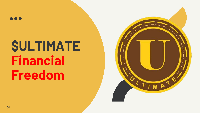## **\$ULTIMATE Financial Freedom**

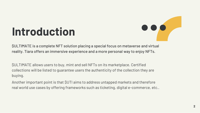

### **Introduction**

\$ULTIMATE is a complete NFT solution placing a special focus on metaverse and virtual reality. Tiara offers an immersive experience and a more personal way to enjoy NFTs.

\$ULTIMATE allows users to buy, mint and sell NFTs on its marketplace. Certified collections will be listed to guarantee users the authenticity of the collection they are buying.

Another important point is that \$UTI aims to address untapped markets and therefore real world use cases by offering frameworks such as ticketing, digital e-commerce, etc..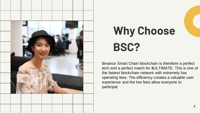

### **Why Choose BSC?**

Binance Smart Chain blockchain is therefore a perfect tech and a perfect match for \$ULTIMATE. This is one of the fastest blockchain network with extremely low operating fees. The efficiency creates a valuable user experience and the low fees allow everyone to participat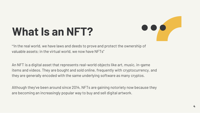

### **What Is an NFT?**

"In the real world, we have laws and deeds to prove and protect the ownership of valuable assets; in the virtual world, we now have NFTs"

An NFT is a digital asset that represents real-world objects like art, music, in-game items and videos. They are bought and sold online, frequently with cryptocurrency, and they are generally encoded with the same underlying software as many cryptos.

Although they've been around since 2014, NFTs are gaining notoriety now because they are becoming an increasingly popular way to buy and sell digital artwork.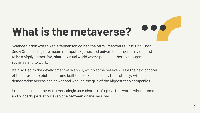# **What is the metaverse?**

Science fiction writer Neal Stephenson coined the term "metaverse" in his 1992 book Snow Crash, using it to mean a computer-generated universe. It is generally understood to be a highly immersive, shared virtual world where people gather to play games, socialise and to work.

It's also tied to the development of Web3.0, which some believe will be the next chapter of the internet's existence — one built on blockchains that, theoretically, will democratise access and power and weaken the grip of the biggest tech companies. .

In an idealized metaverse, every single user shares a single virtual world, where items and property persist for everyone between online sessions.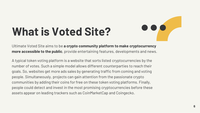### **What is Voted Site?**



Ultimate Voted Site aims to be **a crypto community platform to make cryptocurrency more accessible to the public**, provide entertaining features, developments and news.

A typical token voting platform is a website that sorts listed cryptocurrencies by the number of votes. Such a simple model allows different counterparties to reach their goals. So, websites get more ads sales by generating traffic from coming and voting people. Simultaneously, projects can gain attention from the passionate crypto communities by adding their coins for free on these token voting platforms. Finally, people could detect and invest in the most promising cryptocurrencies before these assets appear on leading trackers such as CoinMarketCap and Coingecko.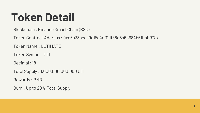### **Token Detail**

Blockchain : Binance Smart Chain (BSC)

Token Contract Address : 0xe6a33aeaa9e15a4cf0df88d5a6b684b61bbbf97b

Token Name : ULTIMATE

Token Symbol : UTI

Decimal : 18

Total Supply : 1,000,000,000,000 UTI

Rewards : BNB

Burn : Up to 20% Total Supply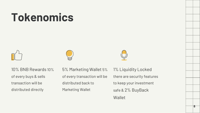### **Tokenomics**







10% BNB Rewards 10% of every buys & sells transaction will be distributed directly

5% Marketing Wallet 5% of every transaction will be distributed back to Marketing Wallet

1% Liquidity Locked there are security features to keep your investment safe & 2% BuyBack **Wallet**